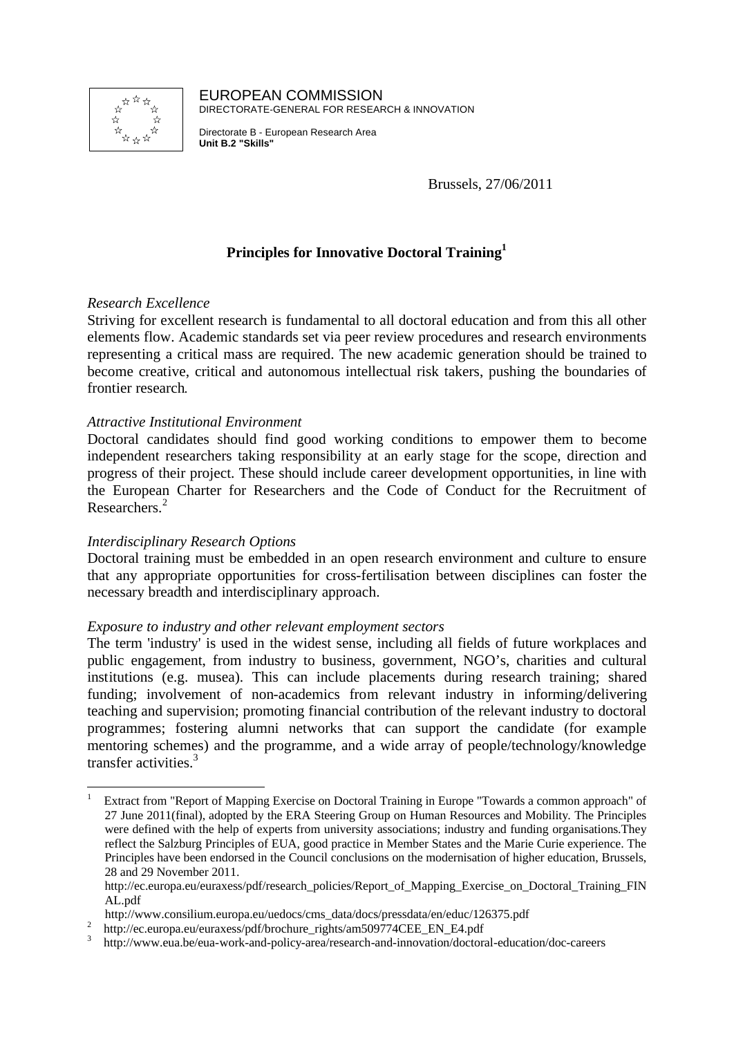

EUROPEAN COMMISSION DIRECTORATE-GENERAL FOR RESEARCH & INNOVATION

Directorate B - European Research Area **Unit B.2 "Skills"** 

Brussels, 27/06/2011

# **Principles for Innovative Doctoral Training<sup>1</sup>**

## *Research Excellence*

Striving for excellent research is fundamental to all doctoral education and from this all other elements flow. Academic standards set via peer review procedures and research environments representing a critical mass are required. The new academic generation should be trained to become creative, critical and autonomous intellectual risk takers, pushing the boundaries of frontier research.

### *Attractive Institutional Environment*

Doctoral candidates should find good working conditions to empower them to become independent researchers taking responsibility at an early stage for the scope, direction and progress of their project. These should include career development opportunities, in line with the European Charter for Researchers and the Code of Conduct for the Recruitment of Researchers.<sup>2</sup>

#### *Interdisciplinary Research Options*

 $\overline{a}$ 

Doctoral training must be embedded in an open research environment and culture to ensure that any appropriate opportunities for cross-fertilisation between disciplines can foster the necessary breadth and interdisciplinary approach.

#### *Exposure to industry and other relevant employment sectors*

The term 'industry' is used in the widest sense, including all fields of future workplaces and public engagement, from industry to business, government, NGO's, charities and cultural institutions (e.g. musea). This can include placements during research training; shared funding; involvement of non-academics from relevant industry in informing/delivering teaching and supervision; promoting financial contribution of the relevant industry to doctoral programmes; fostering alumni networks that can support the candidate (for example mentoring schemes) and the programme, and a wide array of people/technology/knowledge transfer activities.<sup>3</sup>

<sup>1</sup> Extract from "Report of Mapping Exercise on Doctoral Training in Europe "Towards a common approach" of 27 June 2011(final), adopted by the ERA Steering Group on Human Resources and Mobility. The Principles were defined with the help of experts from university associations; industry and funding organisations.They reflect the Salzburg Principles of EUA, good practice in Member States and the Marie Curie experience. The Principles have been endorsed in the Council conclusions on the modernisation of higher education, Brussels, 28 and 29 November 2011.

http://ec.europa.eu/euraxess/pdf/research\_policies/Report\_of\_Mapping\_Exercise\_on\_Doctoral\_Training\_FIN AL.pdf

http://www.consilium.europa.eu/uedocs/cms\_data/docs/pressdata/en/educ/126375.pdf

<sup>2</sup> http://ec.europa.eu/euraxess/pdf/brochure\_rights/am509774CEE\_EN\_E4.pdf

<sup>3</sup> http://www.eua.be/eua-work-and-policy-area/research-and-innovation/doctoral-education/doc-careers